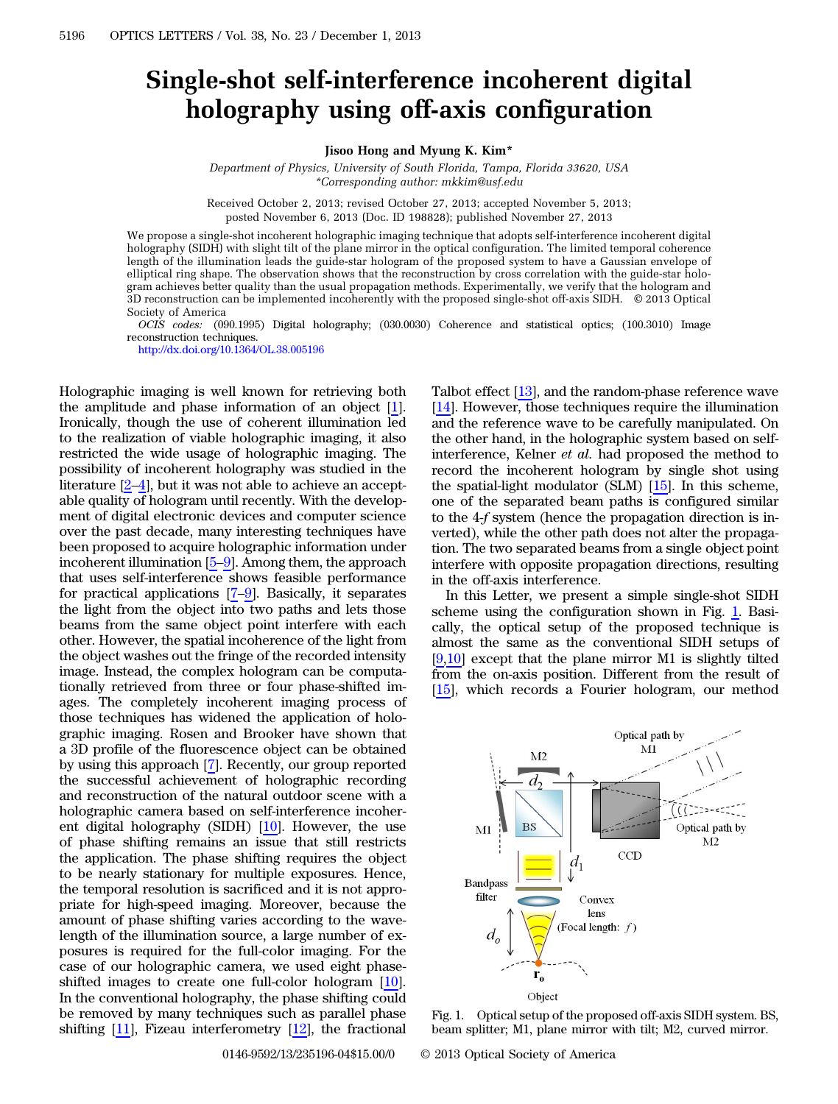## Single-shot self-interference incoherent digital holography using off-axis configuration

Jisoo Hong and Myung K. Kim\*

Department of Physics, University of South Florida, Tampa, Florida 33620, USA \*Corresponding author: mkkim@usf.edu

Received October 2, 2013; revised October 27, 2013; accepted November 5, 2013; posted November 6, 2013 (Doc. ID 198828); published November 27, 2013

We propose a single-shot incoherent holographic imaging technique that adopts self-interference incoherent digital holography (SIDH) with slight tilt of the plane mirror in the optical configuration. The limited temporal coherence length of the illumination leads the guide-star hologram of the proposed system to have a Gaussian envelope of elliptical ring shape. The observation shows that the reconstruction by cross correlation with the guide-star hologram achieves better quality than the usual propagation methods. Experimentally, we verify that the hologram and 3D reconstruction can be implemented incoherently with the proposed single-shot off-axis SIDH. © 2013 Optical Society of America

OCIS codes: (090.1995) Digital holography; (030.0030) Coherence and statistical optics; (100.3010) Image reconstruction techniques.

<http://dx.doi.org/10.1364/OL.38.005196>

Holographic imaging is well known for retrieving both the amplitude and phase information of an object [\[1](#page-3-0)]. Ironically, though the use of coherent illumination led to the realization of viable holographic imaging, it also restricted the wide usage of holographic imaging. The possibility of incoherent holography was studied in the literature [\[2](#page-3-1)–[4](#page-3-2)], but it was not able to achieve an acceptable quality of hologram until recently. With the development of digital electronic devices and computer science over the past decade, many interesting techniques have been proposed to acquire holographic information under incoherent illumination [[5](#page-3-3)–[9\]](#page-3-4). Among them, the approach that uses self-interference shows feasible performance for practical applications [[7](#page-3-5)–[9\]](#page-3-4). Basically, it separates the light from the object into two paths and lets those beams from the same object point interfere with each other. However, the spatial incoherence of the light from the object washes out the fringe of the recorded intensity image. Instead, the complex hologram can be computationally retrieved from three or four phase-shifted images. The completely incoherent imaging process of those techniques has widened the application of holographic imaging. Rosen and Brooker have shown that a 3D profile of the fluorescence object can be obtained by using this approach [\[7](#page-3-5)]. Recently, our group reported the successful achievement of holographic recording and reconstruction of the natural outdoor scene with a holographic camera based on self-interference incoherent digital holography (SIDH)  $[10]$  $[10]$ . However, the use of phase shifting remains an issue that still restricts the application. The phase shifting requires the object to be nearly stationary for multiple exposures. Hence, the temporal resolution is sacrificed and it is not appropriate for high-speed imaging. Moreover, because the amount of phase shifting varies according to the wavelength of the illumination source, a large number of exposures is required for the full-color imaging. For the case of our holographic camera, we used eight phaseshifted images to create one full-color hologram [\[10](#page-3-6)]. In the conventional holography, the phase shifting could be removed by many techniques such as parallel phase shifting [\[11](#page-3-7)], Fizeau interferometry [\[12](#page-3-8)], the fractional

Talbot effect [\[13](#page-3-9)], and the random-phase reference wave [\[14](#page-3-10)]. However, those techniques require the illumination and the reference wave to be carefully manipulated. On the other hand, in the holographic system based on selfinterference, Kelner et al. had proposed the method to record the incoherent hologram by single shot using the spatial-light modulator (SLM) [\[15\]](#page-3-11). In this scheme, one of the separated beam paths is configured similar to the 4-f system (hence the propagation direction is inverted), while the other path does not alter the propagation. The two separated beams from a single object point interfere with opposite propagation directions, resulting in the off-axis interference.

In this Letter, we present a simple single-shot SIDH scheme using the configuration shown in Fig. [1.](#page-0-0) Basically, the optical setup of the proposed technique is almost the same as the conventional SIDH setups of [\[9](#page-3-4),[10\]](#page-3-6) except that the plane mirror M1 is slightly tilted from the on-axis position. Different from the result of [\[15](#page-3-11)], which records a Fourier hologram, our method

<span id="page-0-0"></span>

Fig. 1. Optical setup of the proposed off-axis SIDH system. BS, beam splitter; M1, plane mirror with tilt; M2, curved mirror.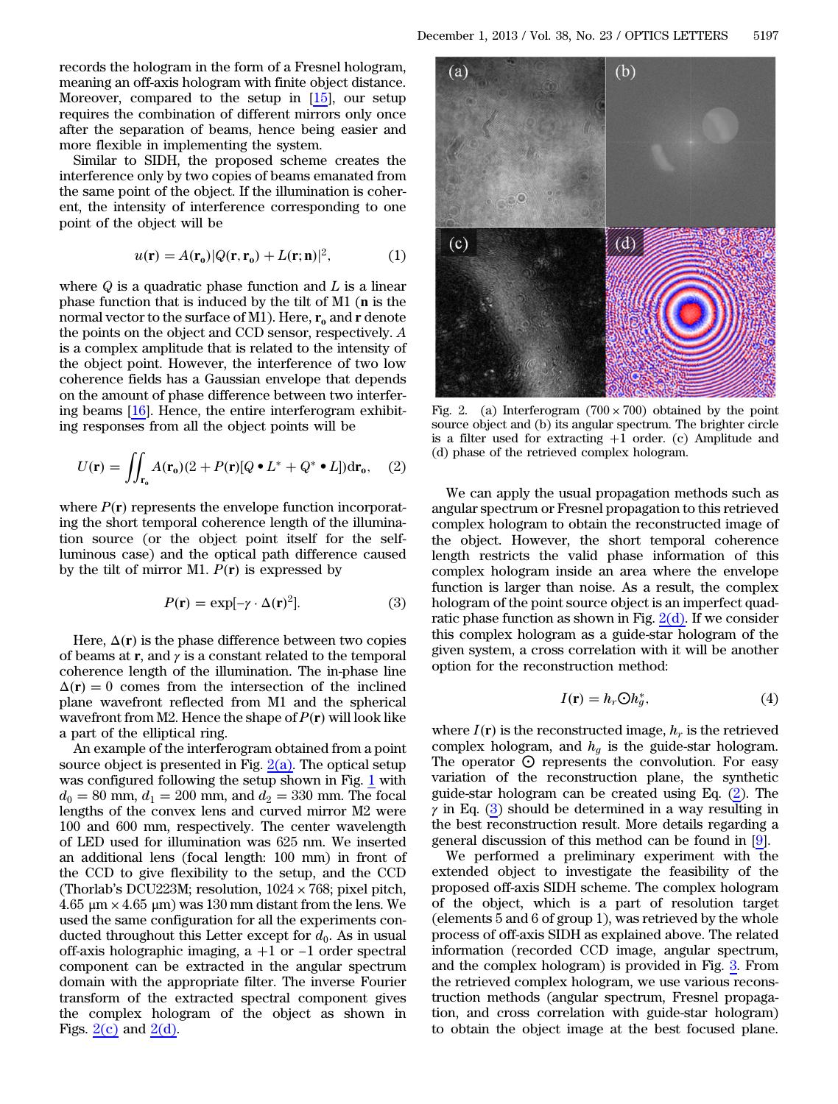records the hologram in the form of a Fresnel hologram, meaning an off-axis hologram with finite object distance. Moreover, compared to the setup in [\[15](#page-3-11)], our setup requires the combination of different mirrors only once after the separation of beams, hence being easier and more flexible in implementing the system.

Similar to SIDH, the proposed scheme creates the interference only by two copies of beams emanated from the same point of the object. If the illumination is coherent, the intensity of interference corresponding to one point of the object will be

$$
u(\mathbf{r}) = A(\mathbf{r}_0)|Q(\mathbf{r}, \mathbf{r}_0) + L(\mathbf{r}; \mathbf{n})|^2,
$$
 (1)

where  $Q$  is a quadratic phase function and  $L$  is a linear phase function that is induced by the tilt of M1 (n is the normal vector to the surface of M1). Here,  $r_0$  and r denote the points on the object and CCD sensor, respectively. A is a complex amplitude that is related to the intensity of the object point. However, the interference of two low coherence fields has a Gaussian envelope that depends on the amount of phase difference between two interfering beams [\[16](#page-3-12)]. Hence, the entire interferogram exhibiting responses from all the object points will be

<span id="page-1-1"></span>
$$
U(\mathbf{r}) = \iint_{\mathbf{r}_0} A(\mathbf{r}_0)(2 + P(\mathbf{r})[Q \bullet L^* + Q^* \bullet L]) d\mathbf{r}_0, \quad (2)
$$

<span id="page-1-2"></span>where  $P(r)$  represents the envelope function incorporating the short temporal coherence length of the illumination source (or the object point itself for the selfluminous case) and the optical path difference caused by the tilt of mirror M1.  $P(\mathbf{r})$  is expressed by

$$
P(\mathbf{r}) = \exp[-\gamma \cdot \Delta(\mathbf{r})^2]. \tag{3}
$$

Here,  $\Delta(\mathbf{r})$  is the phase difference between two copies of beams at r, and  $\gamma$  is a constant related to the temporal coherence length of the illumination. The in-phase line  $\Delta(r) = 0$  comes from the intersection of the inclined plane wavefront reflected from M1 and the spherical wavefront from M2. Hence the shape of  $P(r)$  will look like a part of the elliptical ring.

An example of the interferogram obtained from a point source object is presented in Fig.  $2(a)$ . The optical setup was configured following the setup shown in Fig. [1](#page-0-0) with  $d_0 = 80$  mm,  $d_1 = 200$  mm, and  $d_2 = 330$  mm. The focal lengths of the convex lens and curved mirror M2 were 100 and 600 mm, respectively. The center wavelength of LED used for illumination was 625 nm. We inserted an additional lens (focal length: 100 mm) in front of the CCD to give flexibility to the setup, and the CCD (Thorlab's DCU223M; resolution,  $1024 \times 768$ ; pixel pitch, 4.65 μm × 4.65 μm) was 130 mm distant from the lens. We used the same configuration for all the experiments conducted throughout this Letter except for  $d_0$ . As in usual off-axis holographic imaging,  $a + 1$  or  $-1$  order spectral component can be extracted in the angular spectrum domain with the appropriate filter. The inverse Fourier transform of the extracted spectral component gives the complex hologram of the object as shown in Figs.  $2(c)$  and  $2(d)$ .

<span id="page-1-0"></span>

Fig. 2. (a) Interferogram  $(700 \times 700)$  obtained by the point source object and (b) its angular spectrum. The brighter circle is a filter used for extracting  $+1$  order. (c) Amplitude and (d) phase of the retrieved complex hologram.

We can apply the usual propagation methods such as angular spectrum or Fresnel propagation to this retrieved complex hologram to obtain the reconstructed image of the object. However, the short temporal coherence length restricts the valid phase information of this complex hologram inside an area where the envelope function is larger than noise. As a result, the complex hologram of the point source object is an imperfect quadratic phase function as shown in Fig.  $2(d)$ . If we consider this complex hologram as a guide-star hologram of the given system, a cross correlation with it will be another option for the reconstruction method:

$$
I(\mathbf{r}) = h_r \mathbb{O} h_g^*,\tag{4}
$$

where  $I(\mathbf{r})$  is the reconstructed image,  $h_r$  is the retrieved complex hologram, and  $h_g$  is the guide-star hologram. The operator  $\odot$  represents the convolution. For easy variation of the reconstruction plane, the synthetic guide-star hologram can be created using Eq. ([2\)](#page-1-1). The  $\gamma$  in Eq. ([3\)](#page-1-2) should be determined in a way resulting in the best reconstruction result. More details regarding a general discussion of this method can be found in [[9\]](#page-3-4).

We performed a preliminary experiment with the extended object to investigate the feasibility of the proposed off-axis SIDH scheme. The complex hologram of the object, which is a part of resolution target (elements 5 and 6 of group 1), was retrieved by the whole process of off-axis SIDH as explained above. The related information (recorded CCD image, angular spectrum, and the complex hologram) is provided in Fig. [3](#page-2-0). From the retrieved complex hologram, we use various reconstruction methods (angular spectrum, Fresnel propagation, and cross correlation with guide-star hologram) to obtain the object image at the best focused plane.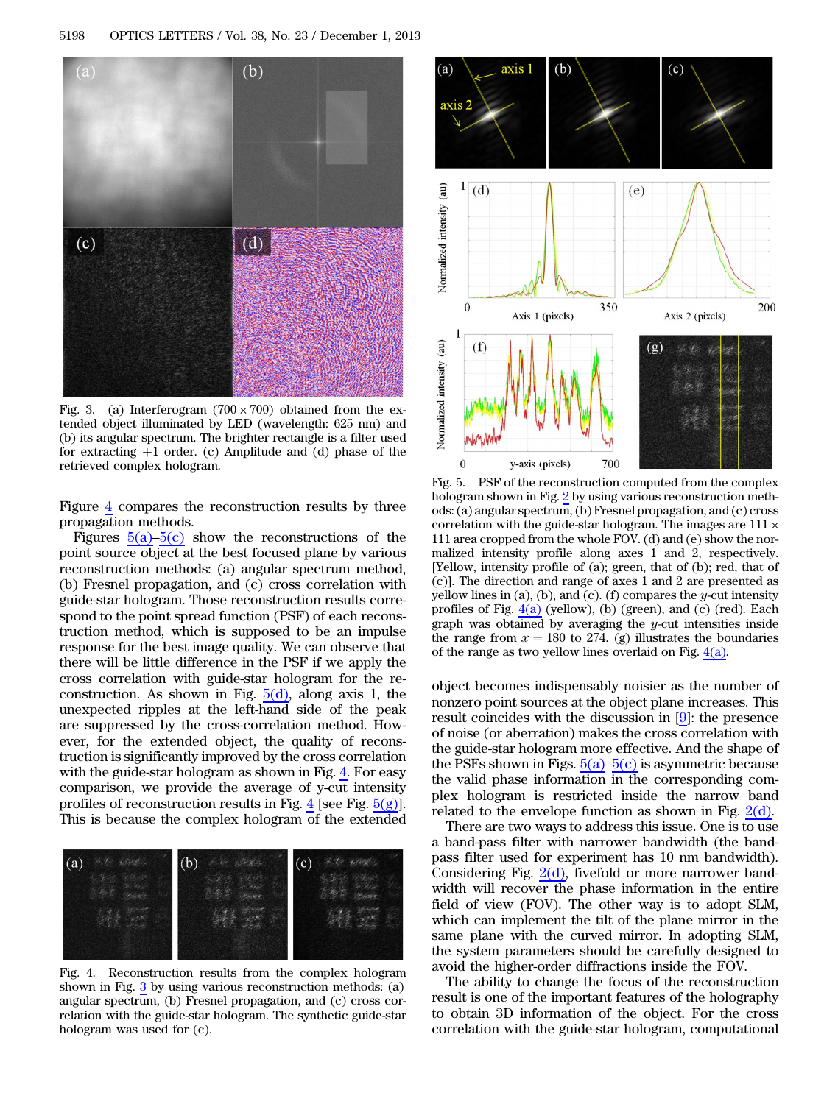<span id="page-2-0"></span>

Fig. 3. (a) Interferogram  $(700 \times 700)$  obtained from the extended object illuminated by LED (wavelength: 625 nm) and (b) its angular spectrum. The brighter rectangle is a filter used for extracting  $+1$  order. (c) Amplitude and (d) phase of the retrieved complex hologram.

Figure [4](#page-2-1) compares the reconstruction results by three propagation methods.

Figures  $5(a)$ – $5(c)$  show the reconstructions of the point source object at the best focused plane by various reconstruction methods: (a) angular spectrum method, (b) Fresnel propagation, and (c) cross correlation with guide-star hologram. Those reconstruction results correspond to the point spread function (PSF) of each reconstruction method, which is supposed to be an impulse response for the best image quality. We can observe that there will be little difference in the PSF if we apply the cross correlation with guide-star hologram for the reconstruction. As shown in Fig.  $5(d)$ , along axis 1, the unexpected ripples at the left-hand side of the peak are suppressed by the cross-correlation method. However, for the extended object, the quality of reconstruction is significantly improved by the cross correlation with the guide-star hologram as shown in Fig. [4.](#page-2-1) For easy comparison, we provide the average of y-cut intensity profiles of reconstruction results in Fig.  $4$  [see Fig.  $5(g)$ ]. This is because the complex hologram of the extended

<span id="page-2-1"></span>

Fig. 4. Reconstruction results from the complex hologram shown in Fig. [3](#page-2-0) by using various reconstruction methods: (a) angular spectrum, (b) Fresnel propagation, and (c) cross correlation with the guide-star hologram. The synthetic guide-star hologram was used for (c).

<span id="page-2-2"></span>

Fig. 5. PSF of the reconstruction computed from the complex hologram shown in Fig. [2](#page-1-0) by using various reconstruction methods: (a) angular spectrum, (b) Fresnel propagation, and (c) cross correlation with the guide-star hologram. The images are  $111 \times$ 111 area cropped from the whole FOV. (d) and (e) show the normalized intensity profile along axes 1 and 2, respectively. [Yellow, intensity profile of (a); green, that of (b); red, that of (c)]. The direction and range of axes 1 and 2 are presented as yellow lines in (a), (b), and (c). (f) compares the y-cut intensity profiles of Fig.  $4(a)$  (yellow), (b) (green), and (c) (red). Each graph was obtained by averaging the  $y$ -cut intensities inside the range from  $x = 180$  to 274. (g) illustrates the boundaries of the range as two yellow lines overlaid on Fig. [4\(a\).](#page-2-1)

object becomes indispensably noisier as the number of nonzero point sources at the object plane increases. This result coincides with the discussion in [[9\]](#page-3-4): the presence of noise (or aberration) makes the cross correlation with the guide-star hologram more effective. And the shape of the PSFs shown in Figs.  $5(a)$ – $5(c)$  is asymmetric because the valid phase information in the corresponding complex hologram is restricted inside the narrow band related to the envelope function as shown in Fig.  $2(d)$ .

There are two ways to address this issue. One is to use a band-pass filter with narrower bandwidth (the bandpass filter used for experiment has 10 nm bandwidth). Considering Fig.  $2(d)$ , fivefold or more narrower bandwidth will recover the phase information in the entire field of view (FOV). The other way is to adopt SLM, which can implement the tilt of the plane mirror in the same plane with the curved mirror. In adopting SLM, the system parameters should be carefully designed to avoid the higher-order diffractions inside the FOV.

The ability to change the focus of the reconstruction result is one of the important features of the holography to obtain 3D information of the object. For the cross correlation with the guide-star hologram, computational